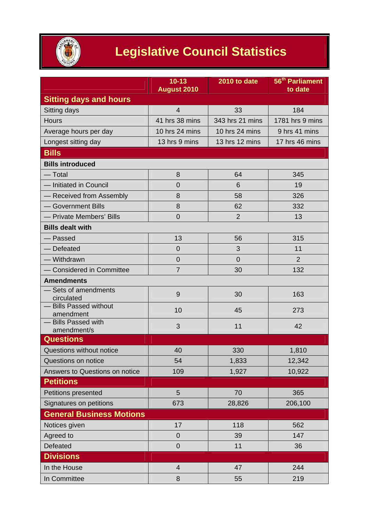

## **Legislative Council Statistics**

|                                          | $10 - 13$<br><b>August 2010</b> | 2010 to date    | 56 <sup>th</sup> Parliament<br>to date |
|------------------------------------------|---------------------------------|-----------------|----------------------------------------|
| <b>Sitting days and hours</b>            |                                 |                 |                                        |
| Sitting days                             | $\overline{4}$                  | 33              | 184                                    |
| <b>Hours</b>                             | 41 hrs 38 mins                  | 343 hrs 21 mins | 1781 hrs 9 mins                        |
| Average hours per day                    | 10 hrs 24 mins                  | 10 hrs 24 mins  | 9 hrs 41 mins                          |
| Longest sitting day                      | 13 hrs 9 mins                   | 13 hrs 12 mins  | 17 hrs 46 mins                         |
| <b>Bills</b>                             |                                 |                 |                                        |
| <b>Bills introduced</b>                  |                                 |                 |                                        |
| — Total                                  | 8                               | 64              | 345                                    |
| - Initiated in Council                   | $\overline{0}$                  | 6               | 19                                     |
| - Received from Assembly                 | 8                               | 58              | 326                                    |
| - Government Bills                       | 8                               | 62              | 332                                    |
| - Private Members' Bills                 | $\overline{0}$                  | $\overline{2}$  | 13                                     |
| <b>Bills dealt with</b>                  |                                 |                 |                                        |
| - Passed                                 | 13                              | 56              | 315                                    |
| - Defeated                               | $\overline{0}$                  | 3               | 11                                     |
| - Withdrawn                              | $\overline{0}$                  | $\overline{0}$  | $\overline{2}$                         |
| - Considered in Committee                | $\overline{7}$                  | 30              | 132                                    |
| <b>Amendments</b>                        |                                 |                 |                                        |
| Sets of amendments<br>circulated         | 9                               | 30              | 163                                    |
| <b>Bills Passed without</b><br>amendment | 10                              | 45              | 273                                    |
| - Bills Passed with<br>amendment/s       | 3                               | 11              | 42                                     |
| <b>Questions</b>                         |                                 |                 |                                        |
| Questions without notice                 | 40                              | 330             | 1,810                                  |
| Questions on notice                      | 54                              | 1,833           | 12,342                                 |
| Answers to Questions on notice           | 109                             | 1,927           | 10,922                                 |
| <b>Petitions</b>                         |                                 |                 |                                        |
| Petitions presented                      | 5                               | 70              | 365                                    |
| Signatures on petitions                  | 673                             | 28,826          | 206,100                                |
| <b>General Business Motions</b>          |                                 |                 |                                        |
| Notices given                            | 17                              | 118             | 562                                    |
| Agreed to                                | $\mathbf 0$                     | 39              | 147                                    |
| Defeated                                 | $\mathbf 0$                     | 11              | 36                                     |
| <b>Divisions</b>                         |                                 |                 |                                        |
| In the House                             | $\overline{4}$                  | 47              | 244                                    |
| In Committee                             | 8                               | 55              | 219                                    |